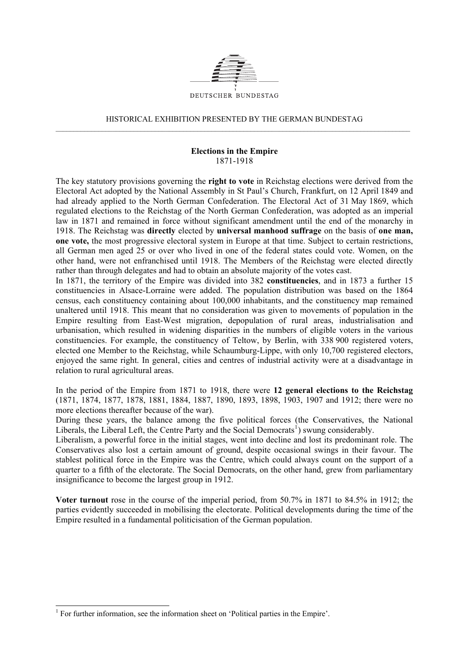

## HISTORICAL EXHIBITION PRESENTED BY THE GERMAN BUNDESTAG  $\mathcal{L}_\text{max}$

## **Elections in the Empire**  1871-1918

The key statutory provisions governing the **right to vote** in Reichstag elections were derived from the Electoral Act adopted by the National Assembly in St Paul's Church, Frankfurt, on 12 April 1849 and had already applied to the North German Confederation. The Electoral Act of 31 May 1869, which regulated elections to the Reichstag of the North German Confederation, was adopted as an imperial law in 1871 and remained in force without significant amendment until the end of the monarchy in 1918. The Reichstag was **directly** elected by **universal manhood suffrage** on the basis of **one man, one vote,** the most progressive electoral system in Europe at that time. Subject to certain restrictions, all German men aged 25 or over who lived in one of the federal states could vote. Women, on the other hand, were not enfranchised until 1918. The Members of the Reichstag were elected directly rather than through delegates and had to obtain an absolute majority of the votes cast.

In 1871, the territory of the Empire was divided into 382 **constituencies**, and in 1873 a further 15 constituencies in Alsace-Lorraine were added. The population distribution was based on the 1864 census, each constituency containing about 100,000 inhabitants, and the constituency map remained unaltered until 1918. This meant that no consideration was given to movements of population in the Empire resulting from East-West migration, depopulation of rural areas, industrialisation and urbanisation, which resulted in widening disparities in the numbers of eligible voters in the various constituencies. For example, the constituency of Teltow, by Berlin, with 338 900 registered voters, elected one Member to the Reichstag, while Schaumburg-Lippe, with only 10,700 registered electors, enjoyed the same right. In general, cities and centres of industrial activity were at a disadvantage in relation to rural agricultural areas.

In the period of the Empire from 1871 to 1918, there were **12 general elections to the Reichstag**  (1871, 1874, 1877, 1878, 1881, 1884, 1887, 1890, 1893, 1898, 1903, 1907 and 1912; there were no more elections thereafter because of the war).

During these years, the balance among the five political forces (the Conservatives, the National Liberals, the Liberal Left, the Centre Party and the Social Democrats<sup>[1](#page-0-0)</sup>) swung considerably.

Liberalism, a powerful force in the initial stages, went into decline and lost its predominant role. The Conservatives also lost a certain amount of ground, despite occasional swings in their favour. The stablest political force in the Empire was the Centre, which could always count on the support of a quarter to a fifth of the electorate. The Social Democrats, on the other hand, grew from parliamentary insignificance to become the largest group in 1912.

**Voter turnout** rose in the course of the imperial period, from 50.7% in 1871 to 84.5% in 1912; the parties evidently succeeded in mobilising the electorate. Political developments during the time of the Empire resulted in a fundamental politicisation of the German population.

1

<span id="page-0-0"></span><sup>&</sup>lt;sup>1</sup> For further information, see the information sheet on 'Political parties in the Empire'.